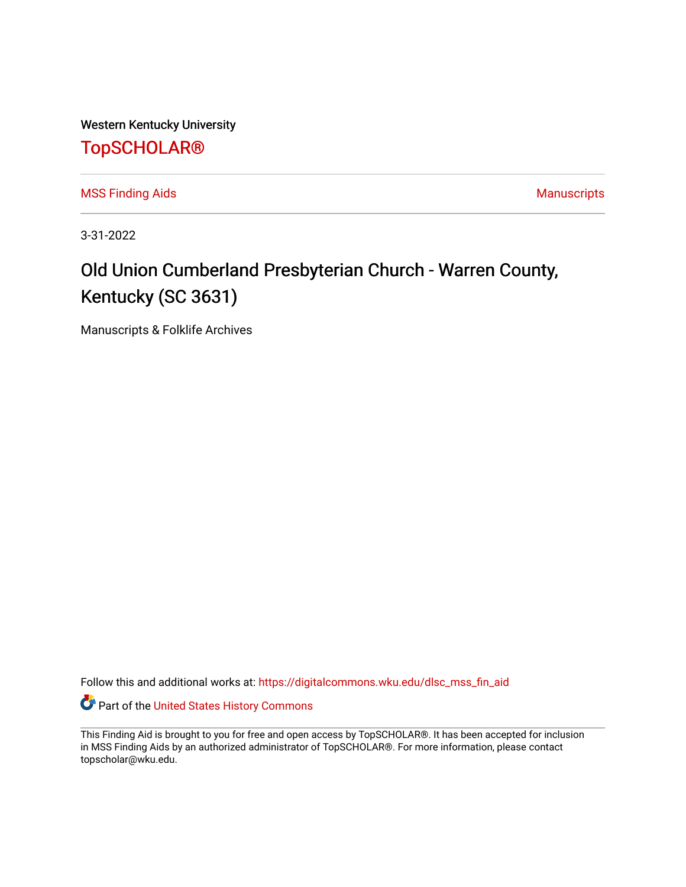Western Kentucky University

# [TopSCHOLAR®](https://digitalcommons.wku.edu/)

[MSS Finding Aids](https://digitalcommons.wku.edu/dlsc_mss_fin_aid) **MSS** Finding Aids **Manuscripts** Manuscripts

3-31-2022

# Old Union Cumberland Presbyterian Church - Warren County, Kentucky (SC 3631)

Manuscripts & Folklife Archives

Follow this and additional works at: [https://digitalcommons.wku.edu/dlsc\\_mss\\_fin\\_aid](https://digitalcommons.wku.edu/dlsc_mss_fin_aid?utm_source=digitalcommons.wku.edu%2Fdlsc_mss_fin_aid%2F5001&utm_medium=PDF&utm_campaign=PDFCoverPages) 

Part of the [United States History Commons](http://network.bepress.com/hgg/discipline/495?utm_source=digitalcommons.wku.edu%2Fdlsc_mss_fin_aid%2F5001&utm_medium=PDF&utm_campaign=PDFCoverPages) 

This Finding Aid is brought to you for free and open access by TopSCHOLAR®. It has been accepted for inclusion in MSS Finding Aids by an authorized administrator of TopSCHOLAR®. For more information, please contact topscholar@wku.edu.